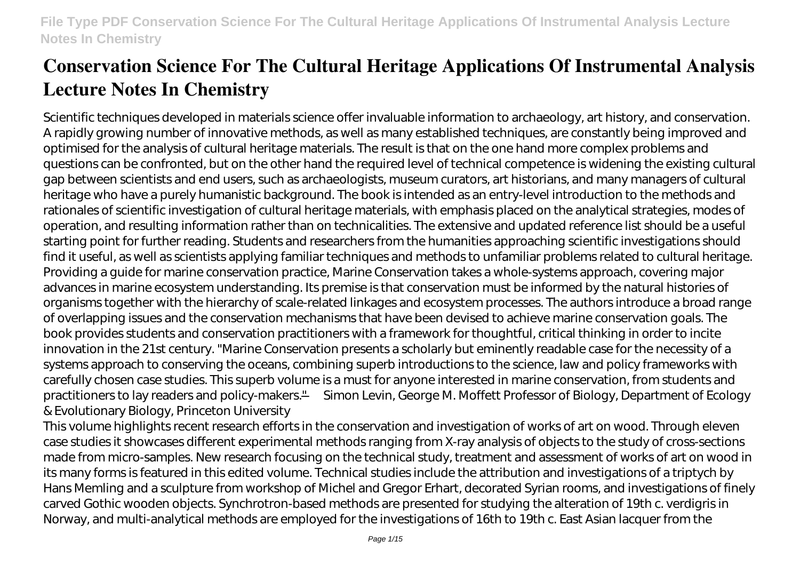Scientific techniques developed in materials science offer invaluable information to archaeology, art history, and conservation. A rapidly growing number of innovative methods, as well as many established techniques, are constantly being improved and optimised for the analysis of cultural heritage materials. The result is that on the one hand more complex problems and questions can be confronted, but on the other hand the required level of technical competence is widening the existing cultural gap between scientists and end users, such as archaeologists, museum curators, art historians, and many managers of cultural heritage who have a purely humanistic background. The book is intended as an entry-level introduction to the methods and rationales of scientific investigation of cultural heritage materials, with emphasis placed on the analytical strategies, modes of operation, and resulting information rather than on technicalities. The extensive and updated reference list should be a useful starting point for further reading. Students and researchers from the humanities approaching scientific investigations should find it useful, as well as scientists applying familiar techniques and methods to unfamiliar problems related to cultural heritage. Providing a guide for marine conservation practice, Marine Conservation takes a whole-systems approach, covering major advances in marine ecosystem understanding. Its premise is that conservation must be informed by the natural histories of organisms together with the hierarchy of scale-related linkages and ecosystem processes. The authors introduce a broad range of overlapping issues and the conservation mechanisms that have been devised to achieve marine conservation goals. The book provides students and conservation practitioners with a framework for thoughtful, critical thinking in order to incite innovation in the 21st century. "Marine Conservation presents a scholarly but eminently readable case for the necessity of a systems approach to conserving the oceans, combining superb introductions to the science, law and policy frameworks with carefully chosen case studies. This superb volume is a must for anyone interested in marine conservation, from students and practitioners to lay readers and policy-makers." —Simon Levin, George M. Moffett Professor of Biology, Department of Ecology & Evolutionary Biology, Princeton University

This volume highlights recent research efforts in the conservation and investigation of works of art on wood. Through eleven case studies it showcases different experimental methods ranging from X-ray analysis of objects to the study of cross-sections made from micro-samples. New research focusing on the technical study, treatment and assessment of works of art on wood in its many forms is featured in this edited volume. Technical studies include the attribution and investigations of a triptych by Hans Memling and a sculpture from workshop of Michel and Gregor Erhart, decorated Syrian rooms, and investigations of finely carved Gothic wooden objects. Synchrotron-based methods are presented for studying the alteration of 19th c. verdigris in Norway, and multi-analytical methods are employed for the investigations of 16th to 19th c. East Asian lacquer from the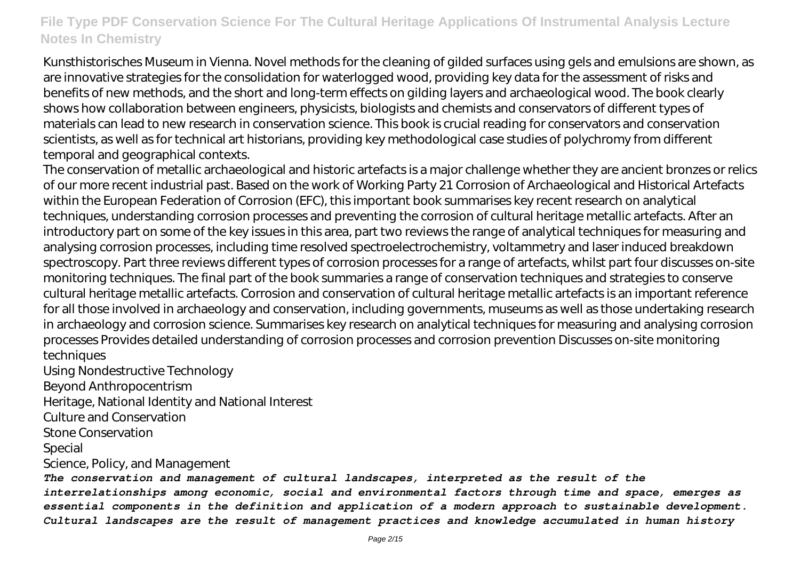Kunsthistorisches Museum in Vienna. Novel methods for the cleaning of gilded surfaces using gels and emulsions are shown, as are innovative strategies for the consolidation for waterlogged wood, providing key data for the assessment of risks and benefits of new methods, and the short and long-term effects on gilding layers and archaeological wood. The book clearly shows how collaboration between engineers, physicists, biologists and chemists and conservators of different types of materials can lead to new research in conservation science. This book is crucial reading for conservators and conservation scientists, as well as for technical art historians, providing key methodological case studies of polychromy from different temporal and geographical contexts.

The conservation of metallic archaeological and historic artefacts is a major challenge whether they are ancient bronzes or relics of our more recent industrial past. Based on the work of Working Party 21 Corrosion of Archaeological and Historical Artefacts within the European Federation of Corrosion (EFC), this important book summarises key recent research on analytical techniques, understanding corrosion processes and preventing the corrosion of cultural heritage metallic artefacts. After an introductory part on some of the key issues in this area, part two reviews the range of analytical techniques for measuring and analysing corrosion processes, including time resolved spectroelectrochemistry, voltammetry and laser induced breakdown spectroscopy. Part three reviews different types of corrosion processes for a range of artefacts, whilst part four discusses on-site monitoring techniques. The final part of the book summaries a range of conservation techniques and strategies to conserve cultural heritage metallic artefacts. Corrosion and conservation of cultural heritage metallic artefacts is an important reference for all those involved in archaeology and conservation, including governments, museums as well as those undertaking research in archaeology and corrosion science. Summarises key research on analytical techniques for measuring and analysing corrosion processes Provides detailed understanding of corrosion processes and corrosion prevention Discusses on-site monitoring techniques

Using Nondestructive Technology Beyond Anthropocentrism Heritage, National Identity and National Interest Culture and Conservation Stone Conservation Special

Science, Policy, and Management

*The conservation and management of cultural landscapes, interpreted as the result of the interrelationships among economic, social and environmental factors through time and space, emerges as essential components in the definition and application of a modern approach to sustainable development. Cultural landscapes are the result of management practices and knowledge accumulated in human history*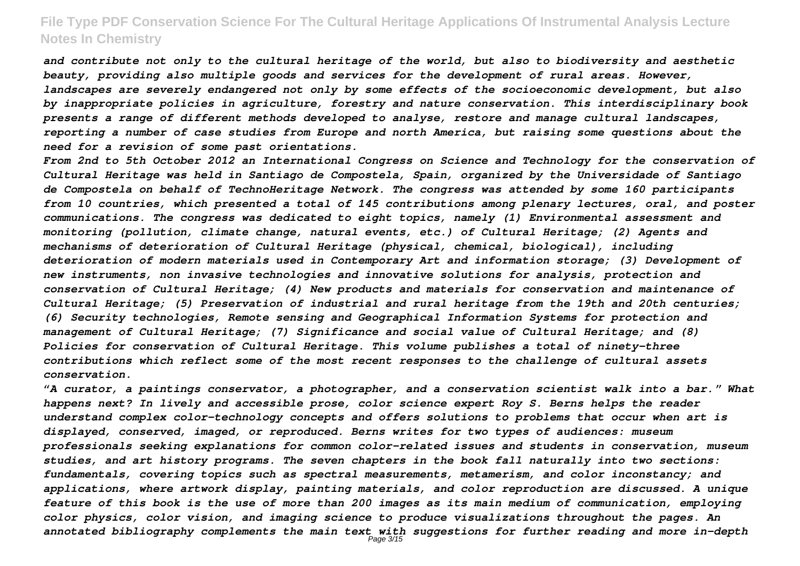*and contribute not only to the cultural heritage of the world, but also to biodiversity and aesthetic beauty, providing also multiple goods and services for the development of rural areas. However, landscapes are severely endangered not only by some effects of the socioeconomic development, but also by inappropriate policies in agriculture, forestry and nature conservation. This interdisciplinary book presents a range of different methods developed to analyse, restore and manage cultural landscapes, reporting a number of case studies from Europe and north America, but raising some questions about the need for a revision of some past orientations.*

*From 2nd to 5th October 2012 an International Congress on Science and Technology for the conservation of Cultural Heritage was held in Santiago de Compostela, Spain, organized by the Universidade of Santiago de Compostela on behalf of TechnoHeritage Network. The congress was attended by some 160 participants from 10 countries, which presented a total of 145 contributions among plenary lectures, oral, and poster communications. The congress was dedicated to eight topics, namely (1) Environmental assessment and monitoring (pollution, climate change, natural events, etc.) of Cultural Heritage; (2) Agents and mechanisms of deterioration of Cultural Heritage (physical, chemical, biological), including deterioration of modern materials used in Contemporary Art and information storage; (3) Development of new instruments, non invasive technologies and innovative solutions for analysis, protection and conservation of Cultural Heritage; (4) New products and materials for conservation and maintenance of Cultural Heritage; (5) Preservation of industrial and rural heritage from the 19th and 20th centuries; (6) Security technologies, Remote sensing and Geographical Information Systems for protection and management of Cultural Heritage; (7) Significance and social value of Cultural Heritage; and (8) Policies for conservation of Cultural Heritage. This volume publishes a total of ninety-three contributions which reflect some of the most recent responses to the challenge of cultural assets conservation.*

*"A curator, a paintings conservator, a photographer, and a conservation scientist walk into a bar." What happens next? In lively and accessible prose, color science expert Roy S. Berns helps the reader understand complex color-technology concepts and offers solutions to problems that occur when art is displayed, conserved, imaged, or reproduced. Berns writes for two types of audiences: museum professionals seeking explanations for common color-related issues and students in conservation, museum studies, and art history programs. The seven chapters in the book fall naturally into two sections: fundamentals, covering topics such as spectral measurements, metamerism, and color inconstancy; and applications, where artwork display, painting materials, and color reproduction are discussed. A unique feature of this book is the use of more than 200 images as its main medium of communication, employing color physics, color vision, and imaging science to produce visualizations throughout the pages. An annotated bibliography complements the main text with suggestions for further reading and more in-depth* Page 3/15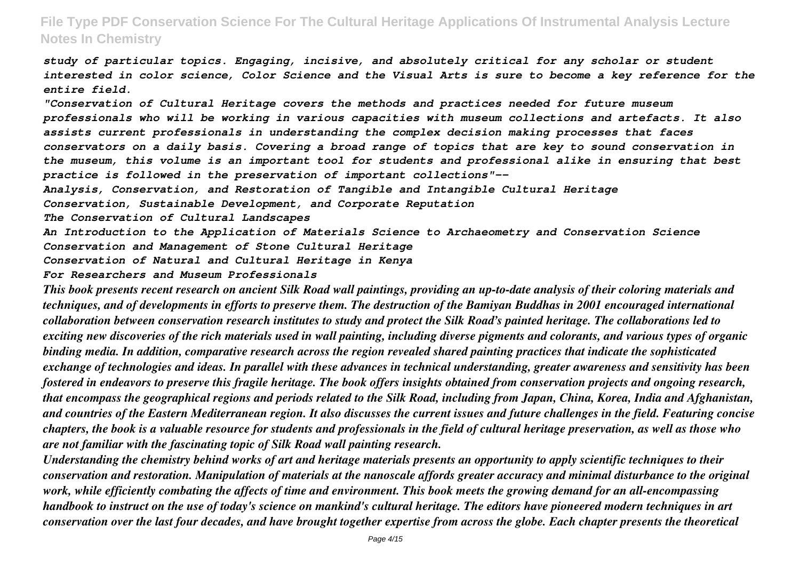*study of particular topics. Engaging, incisive, and absolutely critical for any scholar or student interested in color science, Color Science and the Visual Arts is sure to become a key reference for the entire field.*

*"Conservation of Cultural Heritage covers the methods and practices needed for future museum professionals who will be working in various capacities with museum collections and artefacts. It also assists current professionals in understanding the complex decision making processes that faces conservators on a daily basis. Covering a broad range of topics that are key to sound conservation in the museum, this volume is an important tool for students and professional alike in ensuring that best practice is followed in the preservation of important collections"--*

*Analysis, Conservation, and Restoration of Tangible and Intangible Cultural Heritage*

*Conservation, Sustainable Development, and Corporate Reputation*

*The Conservation of Cultural Landscapes*

*An Introduction to the Application of Materials Science to Archaeometry and Conservation Science Conservation and Management of Stone Cultural Heritage*

*Conservation of Natural and Cultural Heritage in Kenya*

#### *For Researchers and Museum Professionals*

*This book presents recent research on ancient Silk Road wall paintings, providing an up-to-date analysis of their coloring materials and techniques, and of developments in efforts to preserve them. The destruction of the Bamiyan Buddhas in 2001 encouraged international collaboration between conservation research institutes to study and protect the Silk Road's painted heritage. The collaborations led to exciting new discoveries of the rich materials used in wall painting, including diverse pigments and colorants, and various types of organic binding media. In addition, comparative research across the region revealed shared painting practices that indicate the sophisticated exchange of technologies and ideas. In parallel with these advances in technical understanding, greater awareness and sensitivity has been fostered in endeavors to preserve this fragile heritage. The book offers insights obtained from conservation projects and ongoing research, that encompass the geographical regions and periods related to the Silk Road, including from Japan, China, Korea, India and Afghanistan, and countries of the Eastern Mediterranean region. It also discusses the current issues and future challenges in the field. Featuring concise chapters, the book is a valuable resource for students and professionals in the field of cultural heritage preservation, as well as those who are not familiar with the fascinating topic of Silk Road wall painting research.*

*Understanding the chemistry behind works of art and heritage materials presents an opportunity to apply scientific techniques to their conservation and restoration. Manipulation of materials at the nanoscale affords greater accuracy and minimal disturbance to the original work, while efficiently combating the affects of time and environment. This book meets the growing demand for an all-encompassing handbook to instruct on the use of today's science on mankind's cultural heritage. The editors have pioneered modern techniques in art conservation over the last four decades, and have brought together expertise from across the globe. Each chapter presents the theoretical*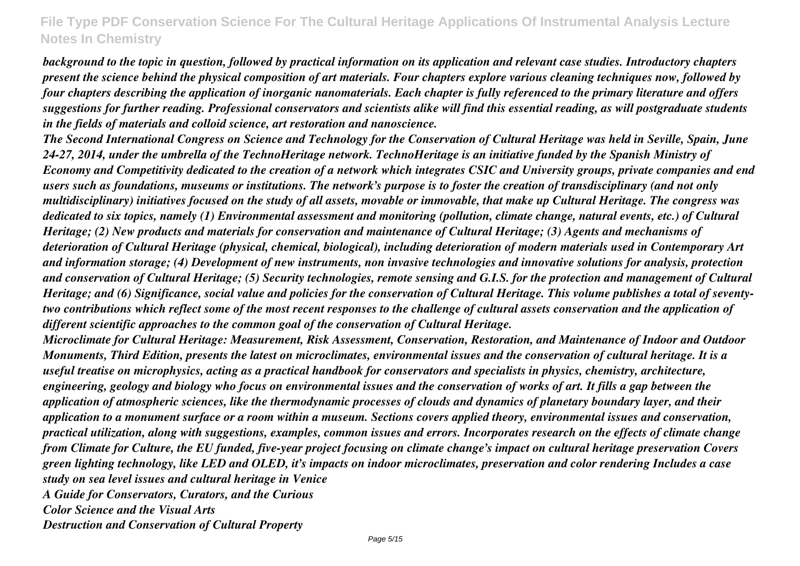*background to the topic in question, followed by practical information on its application and relevant case studies. Introductory chapters present the science behind the physical composition of art materials. Four chapters explore various cleaning techniques now, followed by four chapters describing the application of inorganic nanomaterials. Each chapter is fully referenced to the primary literature and offers suggestions for further reading. Professional conservators and scientists alike will find this essential reading, as will postgraduate students in the fields of materials and colloid science, art restoration and nanoscience.*

*The Second International Congress on Science and Technology for the Conservation of Cultural Heritage was held in Seville, Spain, June 24-27, 2014, under the umbrella of the TechnoHeritage network. TechnoHeritage is an initiative funded by the Spanish Ministry of Economy and Competitivity dedicated to the creation of a network which integrates CSIC and University groups, private companies and end users such as foundations, museums or institutions. The network's purpose is to foster the creation of transdisciplinary (and not only multidisciplinary) initiatives focused on the study of all assets, movable or immovable, that make up Cultural Heritage. The congress was dedicated to six topics, namely (1) Environmental assessment and monitoring (pollution, climate change, natural events, etc.) of Cultural Heritage; (2) New products and materials for conservation and maintenance of Cultural Heritage; (3) Agents and mechanisms of deterioration of Cultural Heritage (physical, chemical, biological), including deterioration of modern materials used in Contemporary Art and information storage; (4) Development of new instruments, non invasive technologies and innovative solutions for analysis, protection and conservation of Cultural Heritage; (5) Security technologies, remote sensing and G.I.S. for the protection and management of Cultural Heritage; and (6) Significance, social value and policies for the conservation of Cultural Heritage. This volume publishes a total of seventytwo contributions which reflect some of the most recent responses to the challenge of cultural assets conservation and the application of different scientific approaches to the common goal of the conservation of Cultural Heritage.*

*Microclimate for Cultural Heritage: Measurement, Risk Assessment, Conservation, Restoration, and Maintenance of Indoor and Outdoor Monuments, Third Edition, presents the latest on microclimates, environmental issues and the conservation of cultural heritage. It is a useful treatise on microphysics, acting as a practical handbook for conservators and specialists in physics, chemistry, architecture, engineering, geology and biology who focus on environmental issues and the conservation of works of art. It fills a gap between the application of atmospheric sciences, like the thermodynamic processes of clouds and dynamics of planetary boundary layer, and their application to a monument surface or a room within a museum. Sections covers applied theory, environmental issues and conservation, practical utilization, along with suggestions, examples, common issues and errors. Incorporates research on the effects of climate change from Climate for Culture, the EU funded, five-year project focusing on climate change's impact on cultural heritage preservation Covers green lighting technology, like LED and OLED, it's impacts on indoor microclimates, preservation and color rendering Includes a case study on sea level issues and cultural heritage in Venice A Guide for Conservators, Curators, and the Curious Color Science and the Visual Arts*

*Destruction and Conservation of Cultural Property*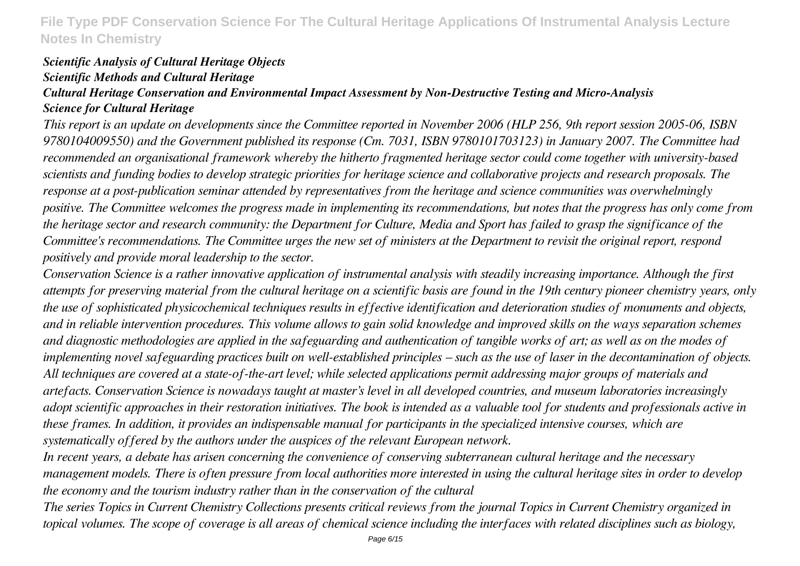#### *Scientific Analysis of Cultural Heritage Objects Scientific Methods and Cultural Heritage Cultural Heritage Conservation and Environmental Impact Assessment by Non-Destructive Testing and Micro-Analysis Science for Cultural Heritage*

*This report is an update on developments since the Committee reported in November 2006 (HLP 256, 9th report session 2005-06, ISBN 9780104009550) and the Government published its response (Cm. 7031, ISBN 9780101703123) in January 2007. The Committee had recommended an organisational framework whereby the hitherto fragmented heritage sector could come together with university-based scientists and funding bodies to develop strategic priorities for heritage science and collaborative projects and research proposals. The response at a post-publication seminar attended by representatives from the heritage and science communities was overwhelmingly positive. The Committee welcomes the progress made in implementing its recommendations, but notes that the progress has only come from the heritage sector and research community: the Department for Culture, Media and Sport has failed to grasp the significance of the Committee's recommendations. The Committee urges the new set of ministers at the Department to revisit the original report, respond positively and provide moral leadership to the sector.*

*Conservation Science is a rather innovative application of instrumental analysis with steadily increasing importance. Although the first attempts for preserving material from the cultural heritage on a scientific basis are found in the 19th century pioneer chemistry years, only the use of sophisticated physicochemical techniques results in effective identification and deterioration studies of monuments and objects, and in reliable intervention procedures. This volume allows to gain solid knowledge and improved skills on the ways separation schemes and diagnostic methodologies are applied in the safeguarding and authentication of tangible works of art; as well as on the modes of implementing novel safeguarding practices built on well-established principles – such as the use of laser in the decontamination of objects. All techniques are covered at a state-of-the-art level; while selected applications permit addressing major groups of materials and artefacts. Conservation Science is nowadays taught at master's level in all developed countries, and museum laboratories increasingly adopt scientific approaches in their restoration initiatives. The book is intended as a valuable tool for students and professionals active in these frames. In addition, it provides an indispensable manual for participants in the specialized intensive courses, which are systematically offered by the authors under the auspices of the relevant European network.*

*In recent years, a debate has arisen concerning the convenience of conserving subterranean cultural heritage and the necessary management models. There is often pressure from local authorities more interested in using the cultural heritage sites in order to develop the economy and the tourism industry rather than in the conservation of the cultural*

*The series Topics in Current Chemistry Collections presents critical reviews from the journal Topics in Current Chemistry organized in topical volumes. The scope of coverage is all areas of chemical science including the interfaces with related disciplines such as biology,*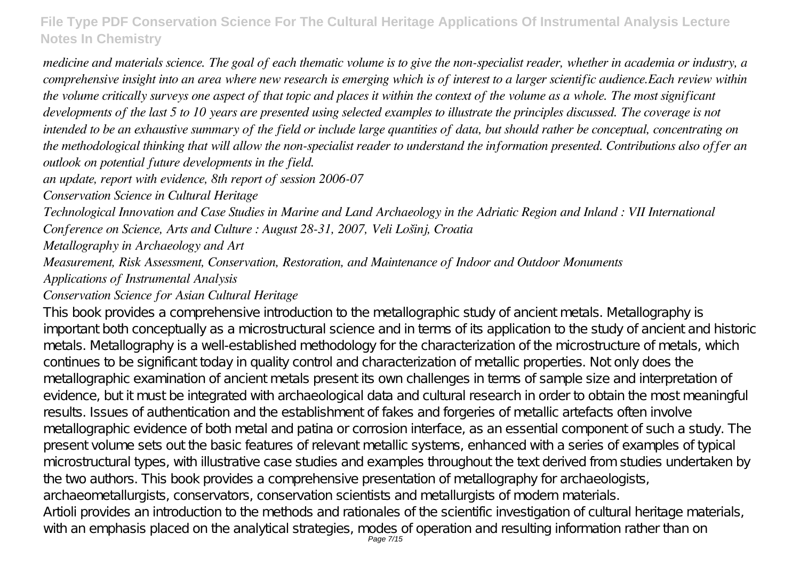*medicine and materials science. The goal of each thematic volume is to give the non-specialist reader, whether in academia or industry, a comprehensive insight into an area where new research is emerging which is of interest to a larger scientific audience.Each review within the volume critically surveys one aspect of that topic and places it within the context of the volume as a whole. The most significant developments of the last 5 to 10 years are presented using selected examples to illustrate the principles discussed. The coverage is not intended to be an exhaustive summary of the field or include large quantities of data, but should rather be conceptual, concentrating on the methodological thinking that will allow the non-specialist reader to understand the information presented. Contributions also offer an outlook on potential future developments in the field.*

*an update, report with evidence, 8th report of session 2006-07*

*Conservation Science in Cultural Heritage*

*Technological Innovation and Case Studies in Marine and Land Archaeology in the Adriatic Region and Inland : VII International Conference on Science, Arts and Culture : August 28-31, 2007, Veli Lošinj, Croatia*

*Metallography in Archaeology and Art*

*Measurement, Risk Assessment, Conservation, Restoration, and Maintenance of Indoor and Outdoor Monuments*

*Applications of Instrumental Analysis*

## *Conservation Science for Asian Cultural Heritage*

This book provides a comprehensive introduction to the metallographic study of ancient metals. Metallography is important both conceptually as a microstructural science and in terms of its application to the study of ancient and historic metals. Metallography is a well-established methodology for the characterization of the microstructure of metals, which continues to be significant today in quality control and characterization of metallic properties. Not only does the metallographic examination of ancient metals present its own challenges in terms of sample size and interpretation of evidence, but it must be integrated with archaeological data and cultural research in order to obtain the most meaningful results. Issues of authentication and the establishment of fakes and forgeries of metallic artefacts often involve metallographic evidence of both metal and patina or corrosion interface, as an essential component of such a study. The present volume sets out the basic features of relevant metallic systems, enhanced with a series of examples of typical microstructural types, with illustrative case studies and examples throughout the text derived from studies undertaken by the two authors. This book provides a comprehensive presentation of metallography for archaeologists, archaeometallurgists, conservators, conservation scientists and metallurgists of modern materials. Artioli provides an introduction to the methods and rationales of the scientific investigation of cultural heritage materials, with an emphasis placed on the analytical strategies, modes of operation and resulting information rather than on<br>Page 7/15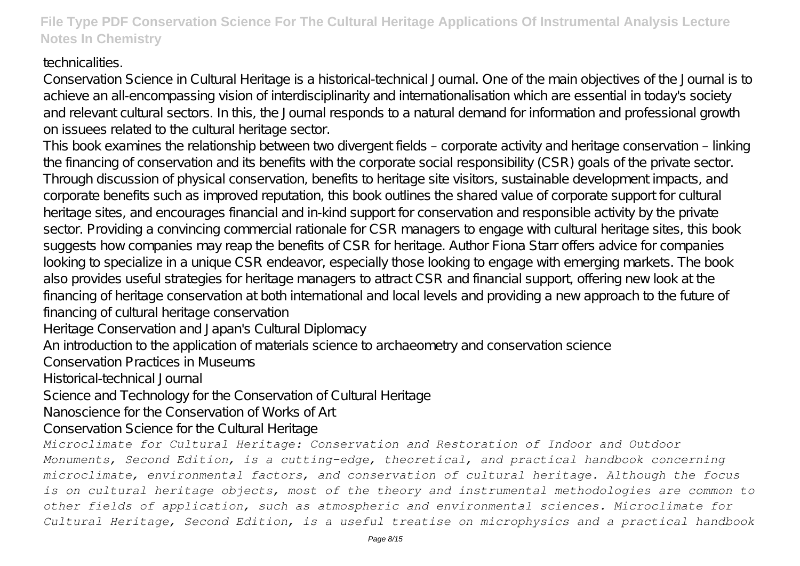## technicalities.

Conservation Science in Cultural Heritage is a historical-technical Journal. One of the main objectives of the Journal is to achieve an all-encompassing vision of interdisciplinarity and internationalisation which are essential in today's society and relevant cultural sectors. In this, the Journal responds to a natural demand for information and professional growth on issuees related to the cultural heritage sector.

This book examines the relationship between two divergent fields – corporate activity and heritage conservation – linking the financing of conservation and its benefits with the corporate social responsibility (CSR) goals of the private sector. Through discussion of physical conservation, benefits to heritage site visitors, sustainable development impacts, and corporate benefits such as improved reputation, this book outlines the shared value of corporate support for cultural heritage sites, and encourages financial and in-kind support for conservation and responsible activity by the private sector. Providing a convincing commercial rationale for CSR managers to engage with cultural heritage sites, this book suggests how companies may reap the benefits of CSR for heritage. Author Fiona Starr offers advice for companies looking to specialize in a unique CSR endeavor, especially those looking to engage with emerging markets. The book also provides useful strategies for heritage managers to attract CSR and financial support, offering new look at the financing of heritage conservation at both international and local levels and providing a new approach to the future of financing of cultural heritage conservation

Heritage Conservation and Japan's Cultural Diplomacy

An introduction to the application of materials science to archaeometry and conservation science

Conservation Practices in Museums

Historical-technical Journal

Science and Technology for the Conservation of Cultural Heritage

Nanoscience for the Conservation of Works of Art

Conservation Science for the Cultural Heritage

*Microclimate for Cultural Heritage: Conservation and Restoration of Indoor and Outdoor Monuments, Second Edition, is a cutting-edge, theoretical, and practical handbook concerning microclimate, environmental factors, and conservation of cultural heritage. Although the focus is on cultural heritage objects, most of the theory and instrumental methodologies are common to other fields of application, such as atmospheric and environmental sciences. Microclimate for Cultural Heritage, Second Edition, is a useful treatise on microphysics and a practical handbook*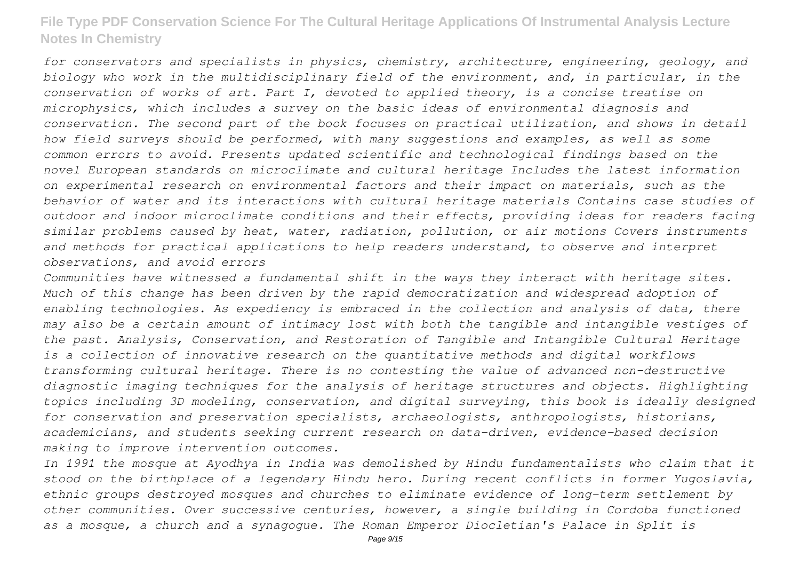*for conservators and specialists in physics, chemistry, architecture, engineering, geology, and biology who work in the multidisciplinary field of the environment, and, in particular, in the conservation of works of art. Part I, devoted to applied theory, is a concise treatise on microphysics, which includes a survey on the basic ideas of environmental diagnosis and conservation. The second part of the book focuses on practical utilization, and shows in detail how field surveys should be performed, with many suggestions and examples, as well as some common errors to avoid. Presents updated scientific and technological findings based on the novel European standards on microclimate and cultural heritage Includes the latest information on experimental research on environmental factors and their impact on materials, such as the behavior of water and its interactions with cultural heritage materials Contains case studies of outdoor and indoor microclimate conditions and their effects, providing ideas for readers facing similar problems caused by heat, water, radiation, pollution, or air motions Covers instruments and methods for practical applications to help readers understand, to observe and interpret observations, and avoid errors*

*Communities have witnessed a fundamental shift in the ways they interact with heritage sites. Much of this change has been driven by the rapid democratization and widespread adoption of enabling technologies. As expediency is embraced in the collection and analysis of data, there may also be a certain amount of intimacy lost with both the tangible and intangible vestiges of the past. Analysis, Conservation, and Restoration of Tangible and Intangible Cultural Heritage is a collection of innovative research on the quantitative methods and digital workflows transforming cultural heritage. There is no contesting the value of advanced non-destructive diagnostic imaging techniques for the analysis of heritage structures and objects. Highlighting topics including 3D modeling, conservation, and digital surveying, this book is ideally designed for conservation and preservation specialists, archaeologists, anthropologists, historians, academicians, and students seeking current research on data-driven, evidence-based decision making to improve intervention outcomes.*

*In 1991 the mosque at Ayodhya in India was demolished by Hindu fundamentalists who claim that it stood on the birthplace of a legendary Hindu hero. During recent conflicts in former Yugoslavia, ethnic groups destroyed mosques and churches to eliminate evidence of long-term settlement by other communities. Over successive centuries, however, a single building in Cordoba functioned as a mosque, a church and a synagogue. The Roman Emperor Diocletian's Palace in Split is*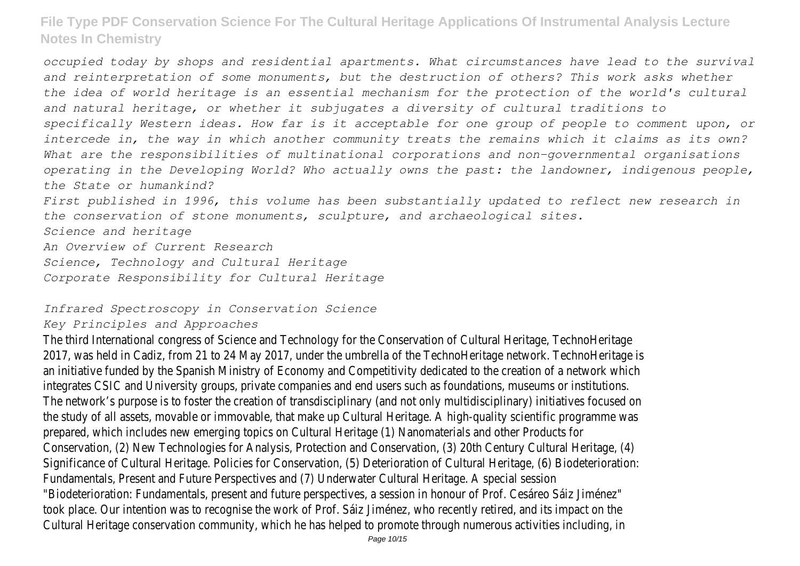*occupied today by shops and residential apartments. What circumstances have lead to the survival and reinterpretation of some monuments, but the destruction of others? This work asks whether the idea of world heritage is an essential mechanism for the protection of the world's cultural and natural heritage, or whether it subjugates a diversity of cultural traditions to specifically Western ideas. How far is it acceptable for one group of people to comment upon, or intercede in, the way in which another community treats the remains which it claims as its own? What are the responsibilities of multinational corporations and non-governmental organisations operating in the Developing World? Who actually owns the past: the landowner, indigenous people, the State or humankind? First published in 1996, this volume has been substantially updated to reflect new research in the conservation of stone monuments, sculpture, and archaeological sites. Science and heritage*

*An Overview of Current Research Science, Technology and Cultural Heritage*

*Corporate Responsibility for Cultural Heritage*

#### *Infrared Spectroscopy in Conservation Science*

#### *Key Principles and Approaches*

The third International congress of Science and Technology for the Conservation of Cultural Heritage, TechnoHeritage 2017, was held in Cadiz, from 21 to 24 May 2017, under the umbrella of the TechnoHeritage network. TechnoHeritage is an initiative funded by the Spanish Ministry of Economy and Competitivity dedicated to the creation of a network which integrates CSIC and University groups, private companies and end users such as foundations, museums or institutions. The network's purpose is to foster the creation of transdisciplinary (and not only multidisciplinary) initiatives focused on the study of all assets, movable or immovable, that make up Cultural Heritage. A high-quality scientific programme was prepared, which includes new emerging topics on Cultural Heritage (1) Nanomaterials and other Products for Conservation, (2) New Technologies for Analysis, Protection and Conservation, (3) 20th Century Cultural Heritage, (4) Significance of Cultural Heritage. Policies for Conservation, (5) Deterioration of Cultural Heritage, (6) Biodeterioration: Fundamentals, Present and Future Perspectives and (7) Underwater Cultural Heritage. A special session "Biodeterioration: Fundamentals, present and future perspectives, a session in honour of Prof. Cesáreo Sáiz Jiménez" took place. Our intention was to recognise the work of Prof. Sáiz Jiménez, who recently retired, and its impact on the Cultural Heritage conservation community, which he has helped to promote through numerous activities including, in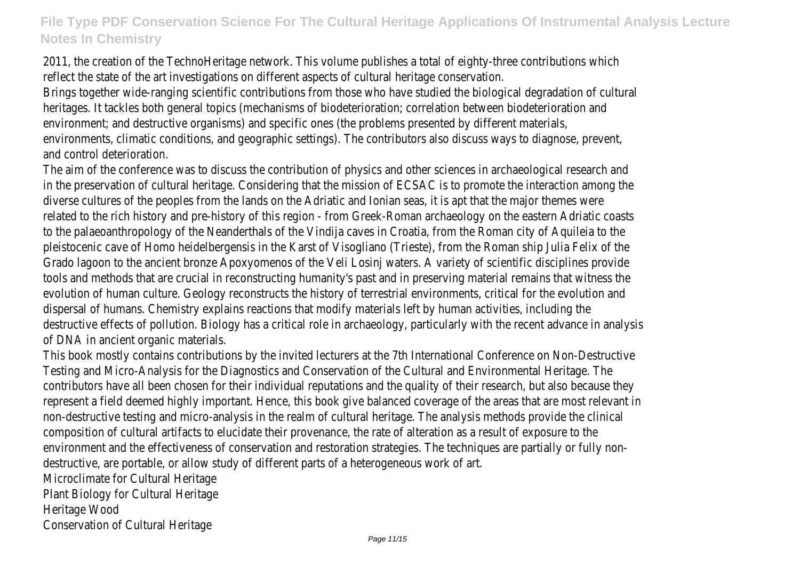2011, the creation of the TechnoHeritage network. This volume publishes a total of eighty-three contributions which reflect the state of the art investigations on different aspects of cultural heritage conservation.

Brings together wide-ranging scientific contributions from those who have studied the biological degradation of cultural heritages. It tackles both general topics (mechanisms of biodeterioration; correlation between biodeterioration and environment; and destructive organisms) and specific ones (the problems presented by different materials, environments, climatic conditions, and geographic settings). The contributors also discuss ways to diagnose, prevent, and control deterioration.

The aim of the conference was to discuss the contribution of physics and other sciences in archaeological research and in the preservation of cultural heritage. Considering that the mission of ECSAC is to promote the interaction among the diverse cultures of the peoples from the lands on the Adriatic and Ionian seas, it is apt that the major themes were related to the rich history and pre-history of this region - from Greek-Roman archaeology on the eastern Adriatic coasts to the palaeoanthropology of the Neanderthals of the Vindija caves in Croatia, from the Roman city of Aquileia to the pleistocenic cave of Homo heidelbergensis in the Karst of Visogliano (Trieste), from the Roman ship Julia Felix of the Grado lagoon to the ancient bronze Apoxyomenos of the Veli Losinj waters. A variety of scientific disciplines provide tools and methods that are crucial in reconstructing humanity's past and in preserving material remains that witness the evolution of human culture. Geology reconstructs the history of terrestrial environments, critical for the evolution and dispersal of humans. Chemistry explains reactions that modify materials left by human activities, including the destructive effects of pollution. Biology has a critical role in archaeology, particularly with the recent advance in analysis of DNA in ancient organic materials.

This book mostly contains contributions by the invited lecturers at the 7th International Conference on Non-Destructive Testing and Micro-Analysis for the Diagnostics and Conservation of the Cultural and Environmental Heritage. The contributors have all been chosen for their individual reputations and the quality of their research, but also because they represent a field deemed highly important. Hence, this book give balanced coverage of the areas that are most relevant in non-destructive testing and micro-analysis in the realm of cultural heritage. The analysis methods provide the clinical composition of cultural artifacts to elucidate their provenance, the rate of alteration as a result of exposure to the environment and the effectiveness of conservation and restoration strategies. The techniques are partially or fully nondestructive, are portable, or allow study of different parts of a heterogeneous work of art.

Microclimate for Cultural Heritage Plant Biology for Cultural Heritage Heritage Wood

Conservation of Cultural Heritage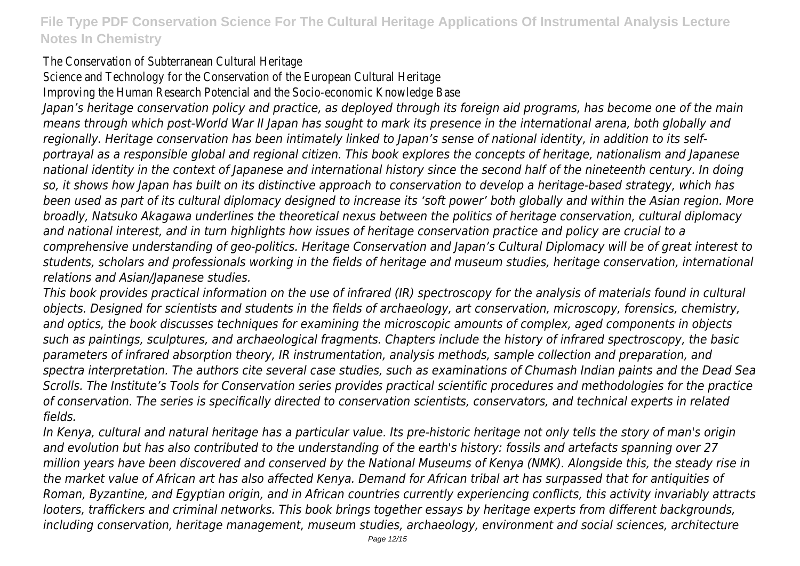The Conservation of Subterranean Cultural Heritage

Science and Technology for the Conservation of the European Cultural Heritage

Improving the Human Research Potencial and the Socio-economic Knowledge Base

*Japan's heritage conservation policy and practice, as deployed through its foreign aid programs, has become one of the main means through which post-World War II Japan has sought to mark its presence in the international arena, both globally and regionally. Heritage conservation has been intimately linked to Japan's sense of national identity, in addition to its selfportrayal as a responsible global and regional citizen. This book explores the concepts of heritage, nationalism and Japanese national identity in the context of Japanese and international history since the second half of the nineteenth century. In doing so, it shows how Japan has built on its distinctive approach to conservation to develop a heritage-based strategy, which has been used as part of its cultural diplomacy designed to increase its 'soft power' both globally and within the Asian region. More broadly, Natsuko Akagawa underlines the theoretical nexus between the politics of heritage conservation, cultural diplomacy and national interest, and in turn highlights how issues of heritage conservation practice and policy are crucial to a comprehensive understanding of geo-politics. Heritage Conservation and Japan's Cultural Diplomacy will be of great interest to students, scholars and professionals working in the fields of heritage and museum studies, heritage conservation, international relations and Asian/Japanese studies.*

*This book provides practical information on the use of infrared (IR) spectroscopy for the analysis of materials found in cultural objects. Designed for scientists and students in the fields of archaeology, art conservation, microscopy, forensics, chemistry, and optics, the book discusses techniques for examining the microscopic amounts of complex, aged components in objects such as paintings, sculptures, and archaeological fragments. Chapters include the history of infrared spectroscopy, the basic parameters of infrared absorption theory, IR instrumentation, analysis methods, sample collection and preparation, and spectra interpretation. The authors cite several case studies, such as examinations of Chumash Indian paints and the Dead Sea Scrolls. The Institute's Tools for Conservation series provides practical scientific procedures and methodologies for the practice of conservation. The series is specifically directed to conservation scientists, conservators, and technical experts in related fields.*

*In Kenya, cultural and natural heritage has a particular value. Its pre-historic heritage not only tells the story of man's origin and evolution but has also contributed to the understanding of the earth's history: fossils and artefacts spanning over 27 million years have been discovered and conserved by the National Museums of Kenya (NMK). Alongside this, the steady rise in the market value of African art has also affected Kenya. Demand for African tribal art has surpassed that for antiquities of Roman, Byzantine, and Egyptian origin, and in African countries currently experiencing conflicts, this activity invariably attracts looters, traffickers and criminal networks. This book brings together essays by heritage experts from different backgrounds, including conservation, heritage management, museum studies, archaeology, environment and social sciences, architecture*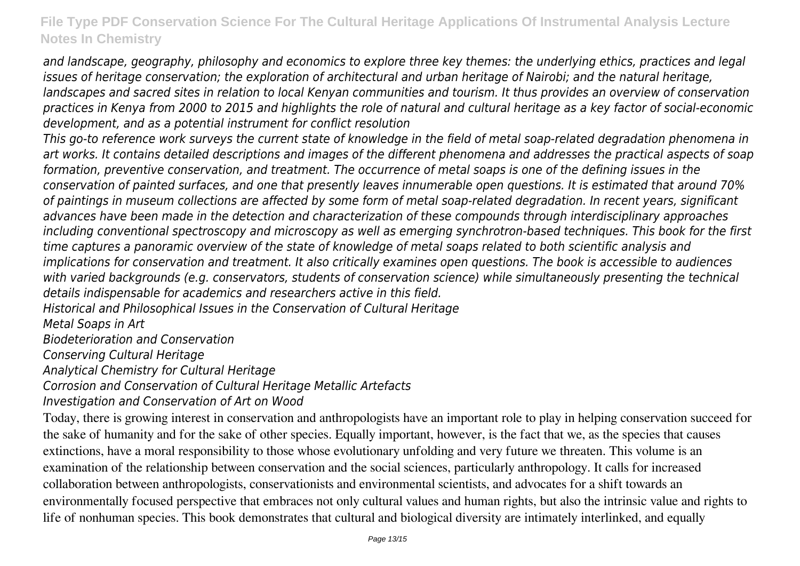*and landscape, geography, philosophy and economics to explore three key themes: the underlying ethics, practices and legal issues of heritage conservation; the exploration of architectural and urban heritage of Nairobi; and the natural heritage, landscapes and sacred sites in relation to local Kenyan communities and tourism. It thus provides an overview of conservation practices in Kenya from 2000 to 2015 and highlights the role of natural and cultural heritage as a key factor of social-economic development, and as a potential instrument for conflict resolution*

*This go-to reference work surveys the current state of knowledge in the field of metal soap-related degradation phenomena in art works. It contains detailed descriptions and images of the different phenomena and addresses the practical aspects of soap formation, preventive conservation, and treatment. The occurrence of metal soaps is one of the defining issues in the conservation of painted surfaces, and one that presently leaves innumerable open questions. It is estimated that around 70% of paintings in museum collections are affected by some form of metal soap-related degradation. In recent years, significant advances have been made in the detection and characterization of these compounds through interdisciplinary approaches including conventional spectroscopy and microscopy as well as emerging synchrotron-based techniques. This book for the first time captures a panoramic overview of the state of knowledge of metal soaps related to both scientific analysis and implications for conservation and treatment. It also critically examines open questions. The book is accessible to audiences with varied backgrounds (e.g. conservators, students of conservation science) while simultaneously presenting the technical details indispensable for academics and researchers active in this field.*

*Historical and Philosophical Issues in the Conservation of Cultural Heritage*

*Metal Soaps in Art*

*Biodeterioration and Conservation*

*Conserving Cultural Heritage*

*Analytical Chemistry for Cultural Heritage*

*Corrosion and Conservation of Cultural Heritage Metallic Artefacts*

*Investigation and Conservation of Art on Wood*

Today, there is growing interest in conservation and anthropologists have an important role to play in helping conservation succeed for the sake of humanity and for the sake of other species. Equally important, however, is the fact that we, as the species that causes extinctions, have a moral responsibility to those whose evolutionary unfolding and very future we threaten. This volume is an examination of the relationship between conservation and the social sciences, particularly anthropology. It calls for increased collaboration between anthropologists, conservationists and environmental scientists, and advocates for a shift towards an environmentally focused perspective that embraces not only cultural values and human rights, but also the intrinsic value and rights to life of nonhuman species. This book demonstrates that cultural and biological diversity are intimately interlinked, and equally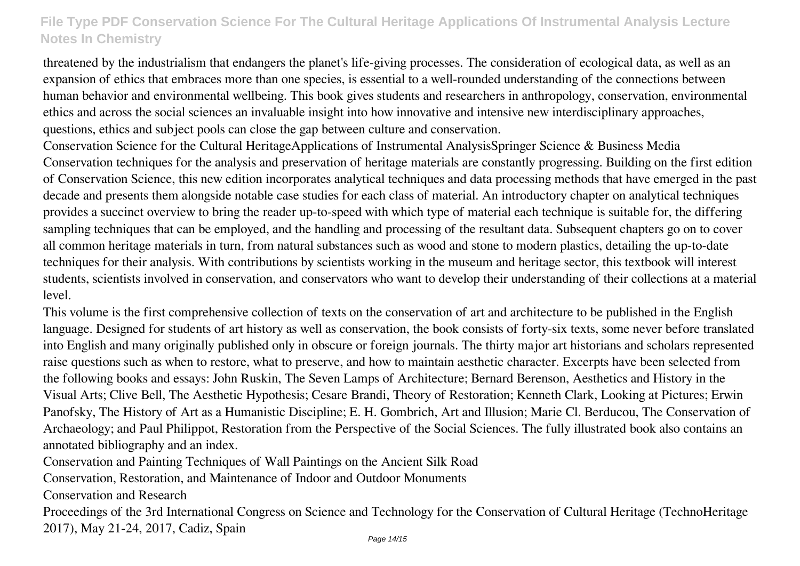threatened by the industrialism that endangers the planet's life-giving processes. The consideration of ecological data, as well as an expansion of ethics that embraces more than one species, is essential to a well-rounded understanding of the connections between human behavior and environmental wellbeing. This book gives students and researchers in anthropology, conservation, environmental ethics and across the social sciences an invaluable insight into how innovative and intensive new interdisciplinary approaches, questions, ethics and subject pools can close the gap between culture and conservation.

Conservation Science for the Cultural HeritageApplications of Instrumental AnalysisSpringer Science & Business Media Conservation techniques for the analysis and preservation of heritage materials are constantly progressing. Building on the first edition of Conservation Science, this new edition incorporates analytical techniques and data processing methods that have emerged in the past decade and presents them alongside notable case studies for each class of material. An introductory chapter on analytical techniques provides a succinct overview to bring the reader up-to-speed with which type of material each technique is suitable for, the differing sampling techniques that can be employed, and the handling and processing of the resultant data. Subsequent chapters go on to cover all common heritage materials in turn, from natural substances such as wood and stone to modern plastics, detailing the up-to-date techniques for their analysis. With contributions by scientists working in the museum and heritage sector, this textbook will interest students, scientists involved in conservation, and conservators who want to develop their understanding of their collections at a material level.

This volume is the first comprehensive collection of texts on the conservation of art and architecture to be published in the English language. Designed for students of art history as well as conservation, the book consists of forty-six texts, some never before translated into English and many originally published only in obscure or foreign journals. The thirty major art historians and scholars represented raise questions such as when to restore, what to preserve, and how to maintain aesthetic character. Excerpts have been selected from the following books and essays: John Ruskin, The Seven Lamps of Architecture; Bernard Berenson, Aesthetics and History in the Visual Arts; Clive Bell, The Aesthetic Hypothesis; Cesare Brandi, Theory of Restoration; Kenneth Clark, Looking at Pictures; Erwin Panofsky, The History of Art as a Humanistic Discipline; E. H. Gombrich, Art and Illusion; Marie Cl. Berducou, The Conservation of Archaeology; and Paul Philippot, Restoration from the Perspective of the Social Sciences. The fully illustrated book also contains an annotated bibliography and an index.

Conservation and Painting Techniques of Wall Paintings on the Ancient Silk Road

Conservation, Restoration, and Maintenance of Indoor and Outdoor Monuments

Conservation and Research

Proceedings of the 3rd International Congress on Science and Technology for the Conservation of Cultural Heritage (TechnoHeritage 2017), May 21-24, 2017, Cadiz, Spain